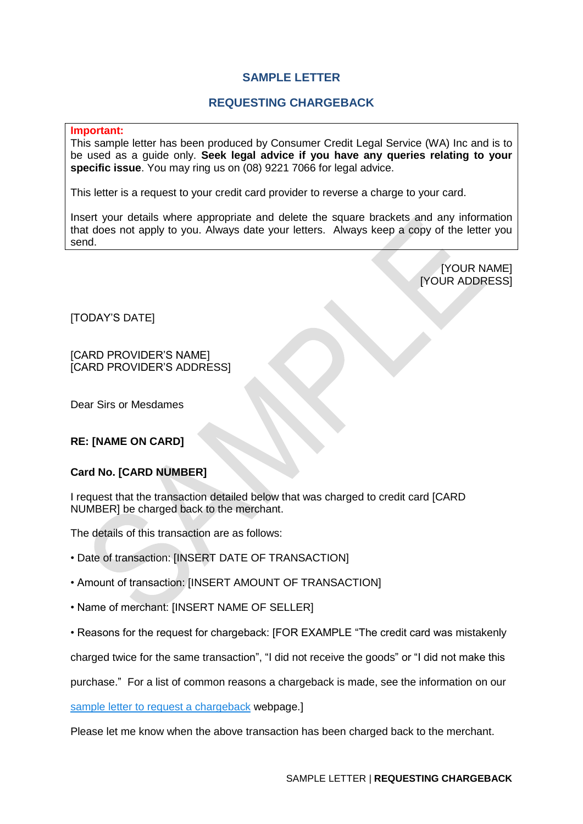## **SAMPLE LETTER**

## **REQUESTING CHARGEBACK**

**Important:**

This sample letter has been produced by Consumer Credit Legal Service (WA) Inc and is to be used as a guide only. **Seek legal advice if you have any queries relating to your specific issue**. You may ring us on (08) 9221 7066 for legal advice.

This letter is a request to your credit card provider to reverse a charge to your card.

Insert your details where appropriate and delete the square brackets and any information that does not apply to you. Always date your letters. Always keep a copy of the letter you send.

> [YOUR NAME] [YOUR ADDRESS]

[TODAY'S DATE]

[CARD PROVIDER'S NAME] [CARD PROVIDER'S ADDRESS]

Dear Sirs or Mesdames

## **RE: [NAME ON CARD]**

## **Card No. [CARD NUMBER]**

I request that the transaction detailed below that was charged to credit card [CARD NUMBER] be charged back to the merchant.

The details of this transaction are as follows:

- Date of transaction: [INSERT DATE OF TRANSACTION]
- Amount of transaction: [INSERT AMOUNT OF TRANSACTION]
- Name of merchant: [INSERT NAME OF SELLER]
- Reasons for the request for chargeback: [FOR EXAMPLE "The credit card was mistakenly

charged twice for the same transaction", "I did not receive the goods" or "I did not make this

purchase." For a list of common reasons a chargeback is made, see the information on our

[sample letter to request a chargeback](http://cclswa.org.au/sample-letter-to-request-chargeback/) webpage.]

Please let me know when the above transaction has been charged back to the merchant.